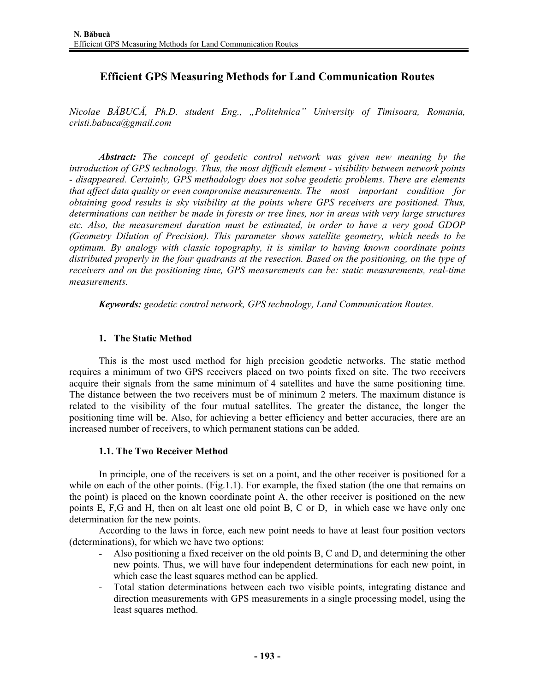# **Efficient GPS Measuring Methods for Land Communication Routes**

*Nicolae BĂBUCĂ, Ph.D. student Eng., "Politehnica" University of Timisoara, Romania, cristi.babuca@gmail.com* 

*Abstract: The concept of geodetic control network was given new meaning by the introduction of GPS technology. Thus, the most difficult element - visibility between network points - disappeared. Certainly, GPS methodology does not solve geodetic problems. There are elements that affect data quality or even compromise measurements. The most important condition for obtaining good results is sky visibility at the points where GPS receivers are positioned. Thus, determinations can neither be made in forests or tree lines, nor in areas with very large structures etc. Also, the measurement duration must be estimated, in order to have a very good GDOP (Geometry Dilution of Precision). This parameter shows satellite geometry, which needs to be optimum. By analogy with classic topography, it is similar to having known coordinate points distributed properly in the four quadrants at the resection. Based on the positioning, on the type of receivers and on the positioning time, GPS measurements can be: static measurements, real-time measurements.* 

*Keywords: geodetic control network, GPS technology, Land Communication Routes.* 

## **1. The Static Method**

This is the most used method for high precision geodetic networks. The static method requires a minimum of two GPS receivers placed on two points fixed on site. The two receivers acquire their signals from the same minimum of 4 satellites and have the same positioning time. The distance between the two receivers must be of minimum 2 meters. The maximum distance is related to the visibility of the four mutual satellites. The greater the distance, the longer the positioning time will be. Also, for achieving a better efficiency and better accuracies, there are an increased number of receivers, to which permanent stations can be added.

#### **1.1. The Two Receiver Method**

In principle, one of the receivers is set on a point, and the other receiver is positioned for a while on each of the other points.  $(Fig.1.1)$ . For example, the fixed station (the one that remains on the point) is placed on the known coordinate point A, the other receiver is positioned on the new points E, F,G and H, then on alt least one old point B, C or D, in which case we have only one determination for the new points.

According to the laws in force, each new point needs to have at least four position vectors (determinations), for which we have two options:

- Also positioning a fixed receiver on the old points B, C and D, and determining the other new points. Thus, we will have four independent determinations for each new point, in which case the least squares method can be applied.
- Total station determinations between each two visible points, integrating distance and direction measurements with GPS measurements in a single processing model, using the least squares method.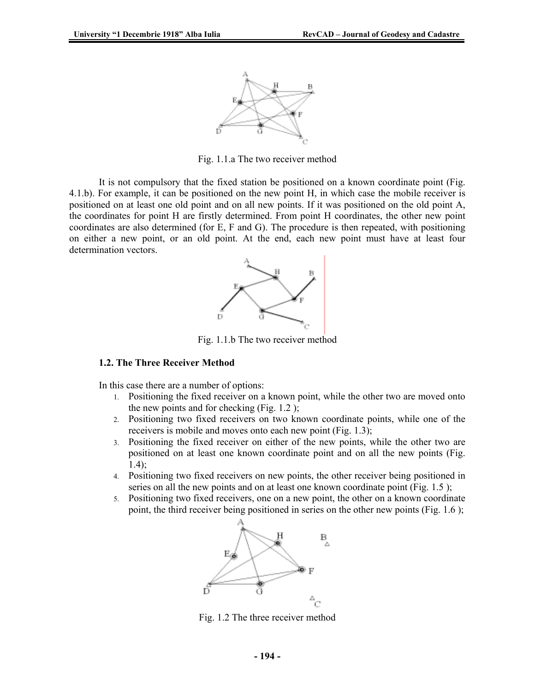

Fig. 1.1.a The two receiver method

It is not compulsory that the fixed station be positioned on a known coordinate point (Fig. 4.1.b). For example, it can be positioned on the new point H, in which case the mobile receiver is positioned on at least one old point and on all new points. If it was positioned on the old point A, the coordinates for point H are firstly determined. From point H coordinates, the other new point coordinates are also determined (for E, F and G). The procedure is then repeated, with positioning on either a new point, or an old point. At the end, each new point must have at least four determination vectors.



Fig. 1.1.b The two receiver method

#### **1.2. The Three Receiver Method**

In this case there are a number of options:

- 1. Positioning the fixed receiver on a known point, while the other two are moved onto the new points and for checking (Fig. 1.2 );
- 2. Positioning two fixed receivers on two known coordinate points, while one of the receivers is mobile and moves onto each new point (Fig. 1.3);
- 3. Positioning the fixed receiver on either of the new points, while the other two are positioned on at least one known coordinate point and on all the new points (Fig. 1.4);
- 4. Positioning two fixed receivers on new points, the other receiver being positioned in series on all the new points and on at least one known coordinate point (Fig. 1.5);
- 5. Positioning two fixed receivers, one on a new point, the other on a known coordinate point, the third receiver being positioned in series on the other new points (Fig. 1.6 );



Fig. 1.2 The three receiver method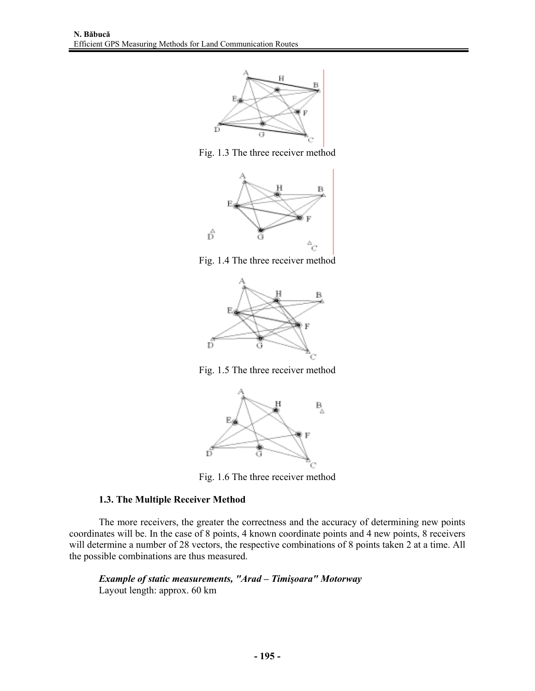

Fig. 1.3 The three receiver method



Fig. 1.4 The three receiver method



Fig. 1.5 The three receiver method



Fig. 1.6 The three receiver method

# 1.3. The Multiple Receiver Method

The more receivers, the greater the correctness and the accuracy of determining new points coordinates will be. In the case of 8 points, 4 known coordinate points and 4 new points, 8 receivers will determine a number of 28 vectors, the respective combinations of 8 points taken 2 at a time. All the possible combinations are thus measured.

Example of static measurements, "Arad - Timişoara" Motorway Layout length: approx. 60 km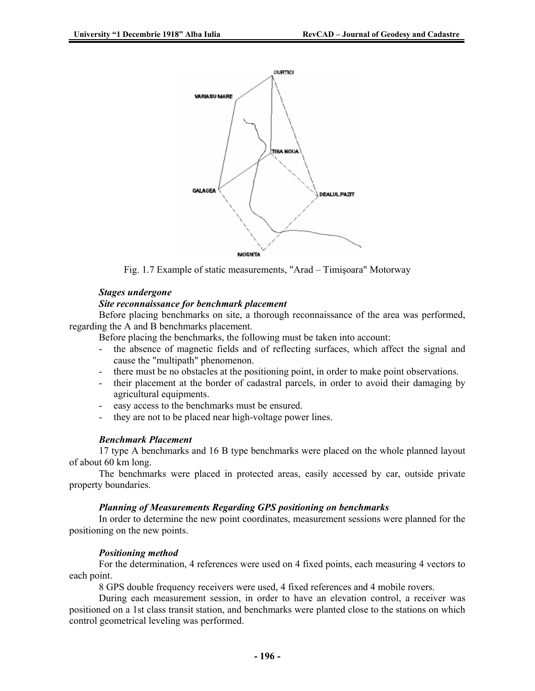

Fig. 1.7 Example of static measurements, "Arad – Timişoara" Motorway

#### *Stages undergone*

#### *Site reconnaissance for benchmark placement*

Before placing benchmarks on site, a thorough reconnaissance of the area was performed, regarding the A and B benchmarks placement.

Before placing the benchmarks, the following must be taken into account:

- the absence of magnetic fields and of reflecting surfaces, which affect the signal and cause the "multipath" phenomenon.
- there must be no obstacles at the positioning point, in order to make point observations.
- their placement at the border of cadastral parcels, in order to avoid their damaging by agricultural equipments.
- easy access to the benchmarks must be ensured.
- they are not to be placed near high-voltage power lines.

#### *Benchmark Placement*

17 type A benchmarks and 16 B type benchmarks were placed on the whole planned layout of about 60 km long.

The benchmarks were placed in protected areas, easily accessed by car, outside private property boundaries.

#### *Planning of Measurements Regarding GPS positioning on benchmarks*

In order to determine the new point coordinates, measurement sessions were planned for the positioning on the new points.

#### *Positioning method*

For the determination, 4 references were used on 4 fixed points, each measuring 4 vectors to each point.

8 GPS double frequency receivers were used, 4 fixed references and 4 mobile rovers.

During each measurement session, in order to have an elevation control, a receiver was positioned on a 1st class transit station, and benchmarks were planted close to the stations on which control geometrical leveling was performed.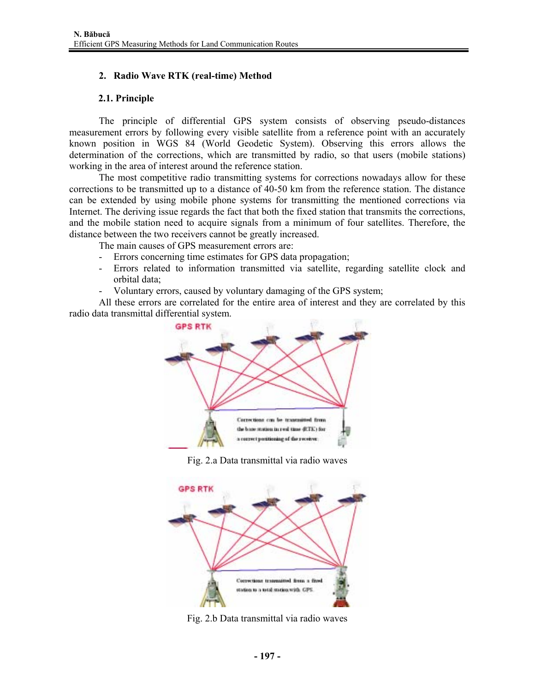# **2. Radio Wave RTK (real-time) Method**

# **2.1. Principle**

The principle of differential GPS system consists of observing pseudo-distances measurement errors by following every visible satellite from a reference point with an accurately known position in WGS 84 (World Geodetic System). Observing this errors allows the determination of the corrections, which are transmitted by radio, so that users (mobile stations) working in the area of interest around the reference station.

The most competitive radio transmitting systems for corrections nowadays allow for these corrections to be transmitted up to a distance of 40-50 km from the reference station. The distance can be extended by using mobile phone systems for transmitting the mentioned corrections via Internet. The deriving issue regards the fact that both the fixed station that transmits the corrections, and the mobile station need to acquire signals from a minimum of four satellites. Therefore, the distance between the two receivers cannot be greatly increased.

The main causes of GPS measurement errors are:

- Errors concerning time estimates for GPS data propagation;
- Errors related to information transmitted via satellite, regarding satellite clock and orbital data;
- Voluntary errors, caused by voluntary damaging of the GPS system;

All these errors are correlated for the entire area of interest and they are correlated by this radio data transmittal differential system.



Fig. 2.a Data transmittal via radio waves



Fig. 2.b Data transmittal via radio waves